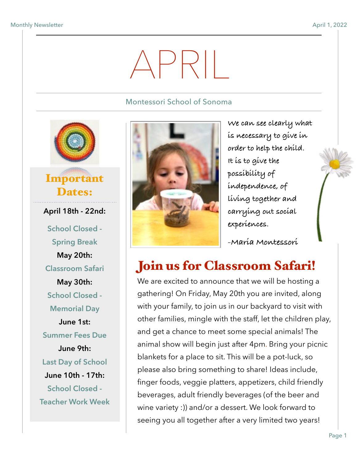# APRIL

#### Montessori School of Sonoma



### Important Dates:

**April 18th - 22nd: School Closed - Spring Break May 20th: Classroom Safari May 30th: School Closed - Memorial Day June 1st: Summer Fees Due June 9th: Last Day of School June 10th - 17th: School Closed - Teacher Work Week** 



**We can see clearly what is necessary to give in order to help the child. It is to give the possibility of independence, of living together and carrying out social experiences.**

**-Maria Montessori** 

## Join us for Classroom Safari!

We are excited to announce that we will be hosting a gathering! On Friday, May 20th you are invited, along with your family, to join us in our backyard to visit with other families, mingle with the staff, let the children play, and get a chance to meet some special animals! The animal show will begin just after 4pm. Bring your picnic blankets for a place to sit. This will be a pot-luck, so please also bring something to share! Ideas include, finger foods, veggie platters, appetizers, child friendly beverages, adult friendly beverages (of the beer and wine variety :)) and/or a dessert. We look forward to seeing you all together after a very limited two years!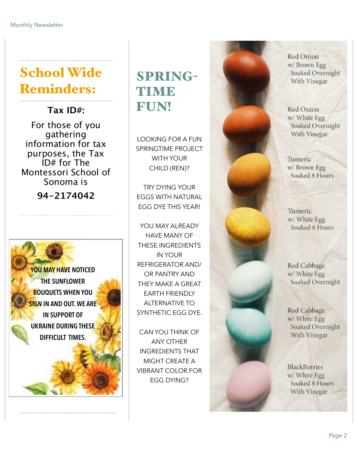## School Wide Reminders:

**Tax ID#:** 

For those of you gathering information for tax purposes, the Tax ID# for The Montessori School of Sonoma is

**94-2174042**

**YOU MAY HAVE NOTICED THE SUNFLOWER BOUQUETS WHEN YOU SIGN IN AND OUT. WE ARE IN SUPPORT OF UKRAINE DURING THESE DIFFICULT TIMES.** 

## SPRING-**TIME** FUN!

LOOKING FOR A FUN SPRINGTIME PROJECT WITH YOUR CHILD (REN)?

TRY DYING YOUR EGGS WITH NATURAL EGG DYE THIS YEAR!

YOU MAY ALREADY HAVE MANY OF THESE INGREDIENTS IN YOUR REFRIGERATOR AND/ OR PANTRY AND THEY MAKE A GREAT EARTH FRIENDLY ALTERNATIVE TO SYNTHETIC EGG DYE.

CAN YOU THINK OF ANY OTHER INGREDIENTS THAT MIGHT CREATE A VIBRANT COLOR FOR EGG DYING?



Red Onion w/ Brown Egg Soaked Overnight With Vinegar

Red Onion w/ White Egg Soaked Overnight With Vinegar

Tumeric w/ Brown Egg Soaked 8 Hours

Tumeric w/ White Egg Soaked 8 Hours

Red Cabbage w/ White Egg Soaked Overnight

Red Cabbage w/ White Egg Soaked Overnight With Vinegar

**BlackBerries** w/ White Egg Soaked 8 Hours With Vinegar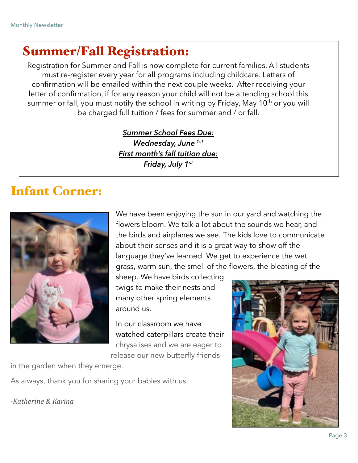#### Summer/Fall Registration:

Registration for Summer and Fall is now complete for current families. All students must re-register every year for all programs including childcare. Letters of confirmation will be emailed within the next couple weeks. After receiving your letter of confirmation, if for any reason your child will not be attending school this summer or fall, you must notify the school in writing by Friday, May 10<sup>th</sup> or you will be charged full tuition / fees for summer and / or fall.

> *Summer School Fees Due: Wednesday, June 1st First month's fall tuition due: Friday, July 1st*

#### Infant Corner:



We have been enjoying the sun in our yard and watching the flowers bloom. We talk a lot about the sounds we hear, and the birds and airplanes we see. The kids love to communicate about their senses and it is a great way to show off the language they've learned. We get to experience the wet grass, warm sun, the smell of the flowers, the bleating of the

sheep. We have birds collecting twigs to make their nests and many other spring elements around us.

In our classroom we have watched caterpillars create their chrysalises and we are eager to release our new butterfly friends

in the garden when they emerge.

As always, thank you for sharing your babies with us!

*-Katherine & Karina*

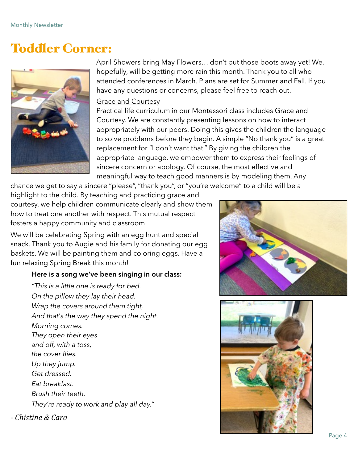#### Toddler Corner:



April Showers bring May Flowers… don't put those boots away yet! We, hopefully, will be getting more rain this month. Thank you to all who attended conferences in March. Plans are set for Summer and Fall. If you have any questions or concerns, please feel free to reach out.

#### **Grace and Courtesy**

Practical life curriculum in our Montessori class includes Grace and Courtesy. We are constantly presenting lessons on how to interact appropriately with our peers. Doing this gives the children the language to solve problems before they begin. A simple "No thank you" is a great replacement for "I don't want that." By giving the children the appropriate language, we empower them to express their feelings of sincere concern or apology. Of course, the most effective and meaningful way to teach good manners is by modeling them. Any

chance we get to say a sincere "please", "thank you", or "you're welcome" to a child will be a

highlight to the child. By teaching and practicing grace and courtesy, we help children communicate clearly and show them how to treat one another with respect. This mutual respect fosters a happy community and classroom.

We will be celebrating Spring with an egg hunt and special snack. Thank you to Augie and his family for donating our egg baskets. We will be painting them and coloring eggs. Have a fun relaxing Spring Break this month!

#### **Here is a song we've been singing in our class:**

 *"This is a little one is ready for bed. On the pillow they lay their head. Wrap the covers around them tight, And that's the way they spend the night. Morning comes. They open their eyes and off, with a toss, the cover flies. Up they jump. Get dressed. Eat breakfast. Brush their teeth. They're ready to work and play all day."*

*- Chistine & Cara* 



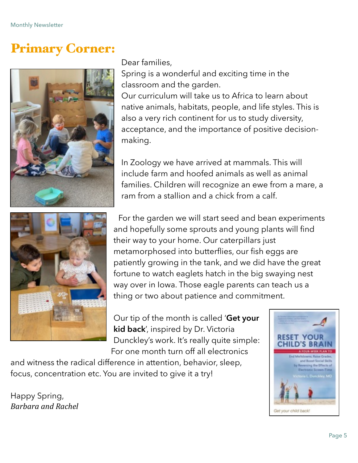#### Primary Corner:





Dear families,

Spring is a wonderful and exciting time in the classroom and the garden. Our curriculum will take us to Africa to learn about

native animals, habitats, people, and life styles. This is also a very rich continent for us to study diversity, acceptance, and the importance of positive decisionmaking.

In Zoology we have arrived at mammals. This will include farm and hoofed animals as well as animal families. Children will recognize an ewe from a mare, a ram from a stallion and a chick from a calf.

For the garden we will start seed and bean experiments and hopefully some sprouts and young plants will find their way to your home. Our caterpillars just metamorphosed into butterflies, our fish eggs are patiently growing in the tank, and we did have the great fortune to watch eaglets hatch in the big swaying nest way over in Iowa. Those eagle parents can teach us a thing or two about patience and commitment.

Our tip of the month is called '**Get your kid back**', inspired by Dr. Victoria Dunckley's work. It's really quite simple: For one month turn off all electronics

and witness the radical difference in attention, behavior, sleep, focus, concentration etc. You are invited to give it a try!

Happy Spring, *Barbara and Rachel* 

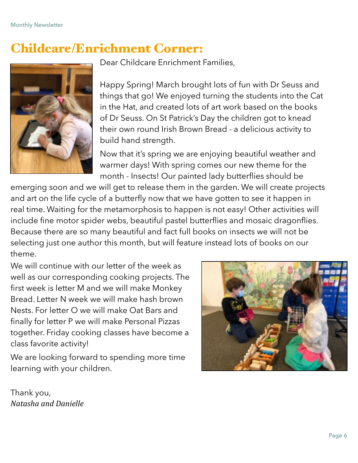#### Childcare/Enrichment Corner:



Dear Childcare Enrichment Families,

Happy Spring! March brought lots of fun with Dr Seuss and things that go! We enjoyed turning the students into the Cat in the Hat, and created lots of art work based on the books of Dr Seuss. On St Patrick's Day the children got to knead their own round Irish Brown Bread - a delicious activity to build hand strength.

Now that it's spring we are enjoying beautiful weather and warmer days! With spring comes our new theme for the month - Insects! Our painted lady butterflies should be

emerging soon and we will get to release them in the garden. We will create projects and art on the life cycle of a butterfly now that we have gotten to see it happen in real time. Waiting for the metamorphosis to happen is not easy! Other activities will include fine motor spider webs, beautiful pastel butterflies and mosaic dragonflies. Because there are so many beautiful and fact full books on insects we will not be selecting just one author this month, but will feature instead lots of books on our theme.

We will continue with our letter of the week as well as our corresponding cooking projects. The first week is letter M and we will make Monkey Bread. Letter N week we will make hash brown Nests. For letter O we will make Oat Bars and finally for letter P we will make Personal Pizzas together. Friday cooking classes have become a class favorite activity!



We are looking forward to spending more time learning with your children.

Thank you, *Natasha and Danielle*